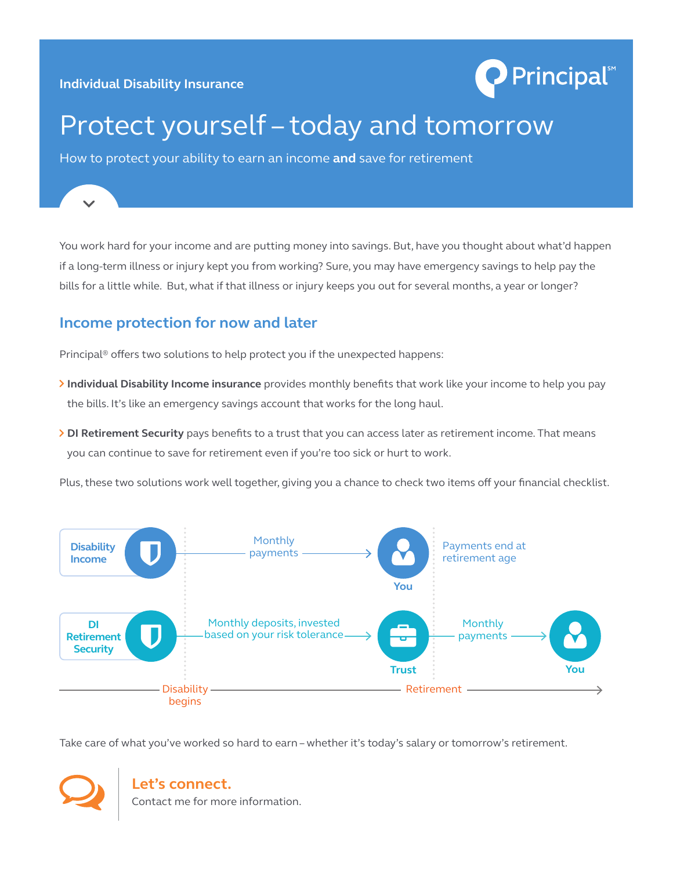# **Individual Disability Insurance**



# Protect yourself – today and tomorrow DI Retirement Security

How to protect your ability to earn an income **and** save for retirement

You work hard for your income and are putting money into savings. But, have you thought about what'd happen **Income payments** if a long-term illness or injury kept you from working? Sure, you may have emergency savings to help pay the bills for a little while. But, what if that illness or injury keeps you out for several months, a year or longer?

age

#### **Income protection for now and later Monthly deposits COMA DIO Security**

Principal® offers two solutions to help protect you if the unexpected happens:

- **Individual Disability Income insurance** provides monthly benefits that work like your income to help you pay the bills. It's like an emergency savings account that works for the long haul.
- **DI Retirement Security** pays benefits to a trust that you can access later as retirement income. That means you can continue to save for retirement even if you're too sick or hurt to work.

Plus, these two solutions work well together, giving you a chance to check two items off your financial checklist.



Take care of what you've worked so hard to earn – whether it's today's salary or tomorrow's retirement.



# **Let's connect.**

Contact me for more information.